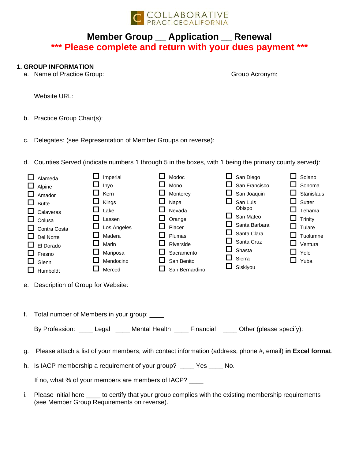

# **Member Group \_\_ Application \_\_ Renewal \*\*\* Please complete and return with your dues payment \*\*\***

## **1. GROUP INFORMATION**

a. Name of Practice Group:

Group Acronym:

Website URL:

- b. Practice Group Chair(s):
- c. Delegates: (see Representation of Member Groups on reverse):
- d. Counties Served (indicate numbers 1 through 5 in the boxes, with 1 being the primary county served):

|                                                                                              | Alameda                                                                                                   |  | Imperial    |  | Modoc          | ப | San Diego     |   | Solano     |
|----------------------------------------------------------------------------------------------|-----------------------------------------------------------------------------------------------------------|--|-------------|--|----------------|---|---------------|---|------------|
|                                                                                              | Alpine                                                                                                    |  | Inyo        |  | Mono           |   | San Francisco |   | Sonoma     |
|                                                                                              | Amador                                                                                                    |  | Kern        |  | Monterey       |   | San Joaquin   |   | Stanislaus |
|                                                                                              | <b>Butte</b>                                                                                              |  | Kings       |  | Napa           |   | San Luis      |   | Sutter     |
|                                                                                              | Calaveras                                                                                                 |  | Lake        |  | Nevada         |   | Obispo        |   | Tehama     |
|                                                                                              | Colusa                                                                                                    |  | Lassen      |  | Orange         |   | San Mateo     |   | Trinity    |
|                                                                                              | Contra Costa                                                                                              |  | Los Angeles |  | Placer         |   | Santa Barbara |   | Tulare     |
|                                                                                              | Del Norte                                                                                                 |  | Madera      |  | Plumas         |   | Santa Clara   |   | Tuolumne   |
|                                                                                              | El Dorado                                                                                                 |  | Marin       |  | Riverside      |   | Santa Cruz    |   | Ventura    |
|                                                                                              | Fresno                                                                                                    |  | Mariposa    |  | Sacramento     |   | Shasta        | ப | Yolo       |
|                                                                                              | Glenn                                                                                                     |  | Mendocino   |  | San Benito     |   | Sierra        | ப | Yuba       |
|                                                                                              | Humboldt                                                                                                  |  | Merced      |  | San Bernardino |   | Siskiyou      |   |            |
|                                                                                              | e. Description of Group for Website:                                                                      |  |             |  |                |   |               |   |            |
| Total number of Members in your group: ____                                                  |                                                                                                           |  |             |  |                |   |               |   |            |
| By Profession: _____ Legal _____ Mental Health _____ Financial _____ Other (please specify): |                                                                                                           |  |             |  |                |   |               |   |            |
| g.                                                                                           | Please attach a list of your members, with contact information (address, phone #, email) in Excel format. |  |             |  |                |   |               |   |            |

h. Is IACP membership a requirement of your group? \_\_\_\_ Yes \_\_\_\_ No.

If no, what % of your members are members of IACP?

i. Please initial here \_\_\_\_ to certify that your group complies with the existing membership requirements (see Member Group Requirements on reverse).